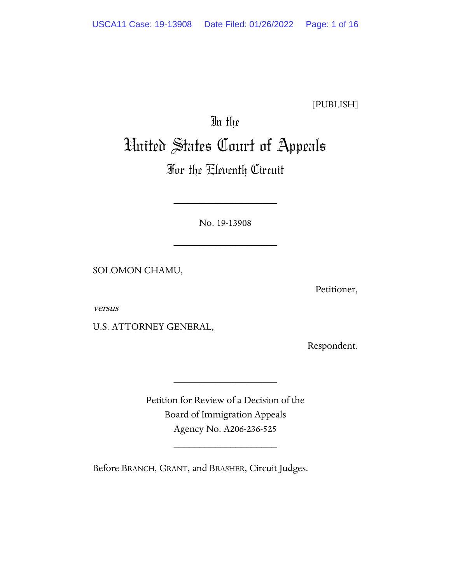[PUBLISH]

# In the United States Court of Appeals

## For the Eleventh Circuit

No. 19-13908

\_\_\_\_\_\_\_\_\_\_\_\_\_\_\_\_\_\_\_\_

\_\_\_\_\_\_\_\_\_\_\_\_\_\_\_\_\_\_\_\_

SOLOMON CHAMU,

Petitioner,

versus

U.S. ATTORNEY GENERAL,

Respondent.

Petition for Review of a Decision of the Board of Immigration Appeals Agency No. A206-236-525

\_\_\_\_\_\_\_\_\_\_\_\_\_\_\_\_\_\_\_\_

\_\_\_\_\_\_\_\_\_\_\_\_\_\_\_\_\_\_\_\_

Before BRANCH, GRANT, and BRASHER, Circuit Judges.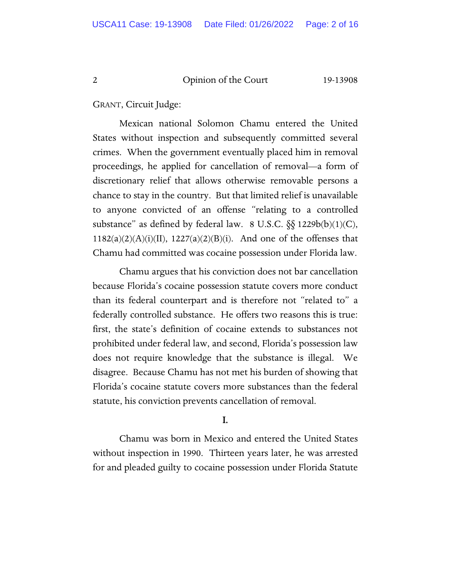GRANT, Circuit Judge:

Mexican national Solomon Chamu entered the United States without inspection and subsequently committed several crimes. When the government eventually placed him in removal proceedings, he applied for cancellation of removal—a form of discretionary relief that allows otherwise removable persons a chance to stay in the country. But that limited relief is unavailable to anyone convicted of an offense "relating to a controlled substance" as defined by federal law.  $8 \text{ U.S.C. } \S \S 1229b(b)(1)(C)$ ,  $1182(a)(2)(A)(i)(II)$ ,  $1227(a)(2)(B)(i)$ . And one of the offenses that Chamu had committed was cocaine possession under Florida law.

Chamu argues that his conviction does not bar cancellation because Florida's cocaine possession statute covers more conduct than its federal counterpart and is therefore not "related to" a federally controlled substance. He offers two reasons this is true: first, the state's definition of cocaine extends to substances not prohibited under federal law, and second, Florida's possession law does not require knowledge that the substance is illegal. We disagree. Because Chamu has not met his burden of showing that Florida's cocaine statute covers more substances than the federal statute, his conviction prevents cancellation of removal.

#### I.

Chamu was born in Mexico and entered the United States without inspection in 1990. Thirteen years later, he was arrested for and pleaded guilty to cocaine possession under Florida Statute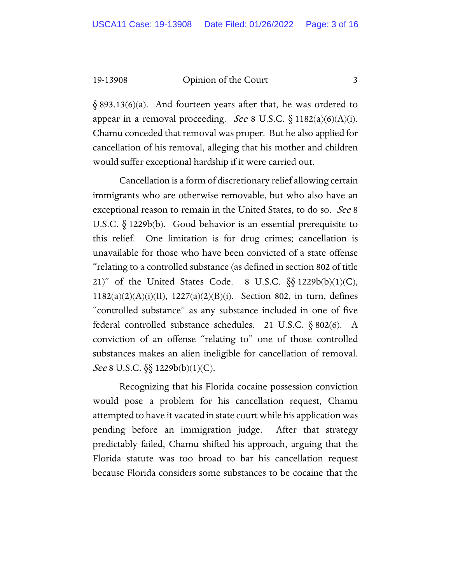$\S$  893.13(6)(a). And fourteen years after that, he was ordered to appear in a removal proceeding. See 8 U.S.C.  $\S$  1182(a)(6)(A)(i). Chamu conceded that removal was proper. But he also applied for cancellation of his removal, alleging that his mother and children would suffer exceptional hardship if it were carried out.

Cancellation is a form of discretionary relief allowing certain immigrants who are otherwise removable, but who also have an exceptional reason to remain in the United States, to do so. See 8 U.S.C. § 1229b(b). Good behavior is an essential prerequisite to this relief. One limitation is for drug crimes; cancellation is unavailable for those who have been convicted of a state offense "relating to a controlled substance (as defined in section 802 of title 21)" of the United States Code. 8 U.S.C.  $\S$ § 1229b(b)(1)(C), 1182(a)(2)(A)(i)(II), 1227(a)(2)(B)(i). Section 802, in turn, defines "controlled substance" as any substance included in one of five federal controlled substance schedules. 21 U.S.C. § 802(6). A conviction of an offense "relating to" one of those controlled substances makes an alien ineligible for cancellation of removal. *See* 8 U.S.C.  $\S$  1229b(b)(1)(C).

Recognizing that his Florida cocaine possession conviction would pose a problem for his cancellation request, Chamu attempted to have it vacated in state court while his application was pending before an immigration judge. After that strategy predictably failed, Chamu shifted his approach, arguing that the Florida statute was too broad to bar his cancellation request because Florida considers some substances to be cocaine that the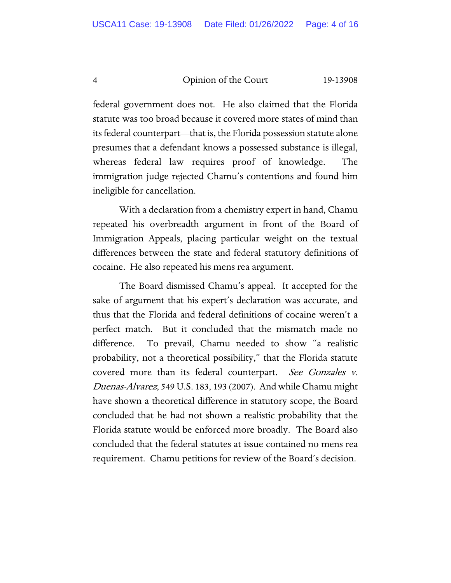federal government does not. He also claimed that the Florida statute was too broad because it covered more states of mind than its federal counterpart—that is, the Florida possession statute alone presumes that a defendant knows a possessed substance is illegal, whereas federal law requires proof of knowledge. The immigration judge rejected Chamu's contentions and found him ineligible for cancellation.

With a declaration from a chemistry expert in hand, Chamu repeated his overbreadth argument in front of the Board of Immigration Appeals, placing particular weight on the textual differences between the state and federal statutory definitions of cocaine. He also repeated his mens rea argument.

The Board dismissed Chamu's appeal. It accepted for the sake of argument that his expert's declaration was accurate, and thus that the Florida and federal definitions of cocaine weren't a perfect match. But it concluded that the mismatch made no difference. To prevail, Chamu needed to show "a realistic probability, not a theoretical possibility," that the Florida statute covered more than its federal counterpart. See Gonzales v. Duenas-Alvarez, 549 U.S. 183, 193 (2007). And while Chamu might have shown a theoretical difference in statutory scope, the Board concluded that he had not shown a realistic probability that the Florida statute would be enforced more broadly. The Board also concluded that the federal statutes at issue contained no mens rea requirement. Chamu petitions for review of the Board's decision.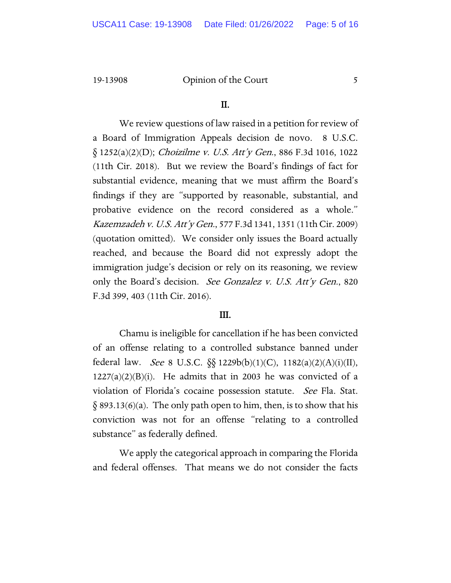#### II.

We review questions of law raised in a petition for review of a Board of Immigration Appeals decision de novo. 8 U.S.C.  $\S$  1252(a)(2)(D); *Choizilme v. U.S. Att'y Gen.*, 886 F.3d 1016, 1022 (11th Cir. 2018). But we review the Board's findings of fact for substantial evidence, meaning that we must affirm the Board's findings if they are "supported by reasonable, substantial, and probative evidence on the record considered as a whole." Kazemzadeh v. U.S. Att'y Gen., 577 F.3d 1341, 1351 (11th Cir. 2009) (quotation omitted). We consider only issues the Board actually reached, and because the Board did not expressly adopt the immigration judge's decision or rely on its reasoning, we review only the Board's decision. See Gonzalez v. U.S. Att'y Gen., 820 F.3d 399, 403 (11th Cir. 2016).

#### III.

Chamu is ineligible for cancellation if he has been convicted of an offense relating to a controlled substance banned under federal law. *See* 8 U.S.C.  $\S_{8}$  1229b(b)(1)(C), 1182(a)(2)(A)(i)(II),  $1227(a)(2)(B)(i)$ . He admits that in 2003 he was convicted of a violation of Florida's cocaine possession statute. See Fla. Stat.  $\S$  893.13(6)(a). The only path open to him, then, is to show that his conviction was not for an offense "relating to a controlled substance" as federally defined.

We apply the categorical approach in comparing the Florida and federal offenses. That means we do not consider the facts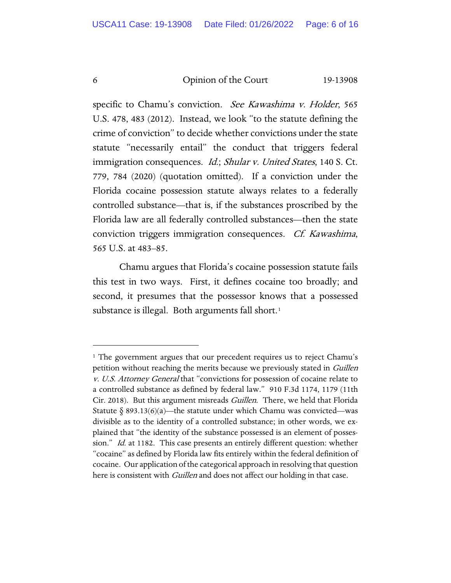specific to Chamu's conviction. See Kawashima v. Holder, 565 U.S. 478, 483 (2012). Instead, we look "to the statute defining the crime of conviction" to decide whether convictions under the state statute "necessarily entail" the conduct that triggers federal immigration consequences. *Id.*; Shular v. United States, 140 S. Ct. 779, 784 (2020) (quotation omitted). If a conviction under the Florida cocaine possession statute always relates to a federally controlled substance—that is, if the substances proscribed by the Florida law are all federally controlled substances—then the state conviction triggers immigration consequences. Cf. Kawashima, 565 U.S. at 483–85.

Chamu argues that Florida's cocaine possession statute fails this test in two ways. First, it defines cocaine too broadly; and second, it presumes that the possessor knows that a possessed substance is illegal. Both arguments fall short.<sup>[1](#page-5-0)</sup>

<span id="page-5-0"></span><sup>1</sup> The government argues that our precedent requires us to reject Chamu's petition without reaching the merits because we previously stated in Guillen v. U.S. Attorney General that "convictions for possession of cocaine relate to a controlled substance as defined by federal law." 910 F.3d 1174, 1179 (11th Cir. 2018). But this argument misreads *Guillen*. There, we held that Florida Statute  $\S 893.13(6)(a)$ —the statute under which Chamu was convicted—was divisible as to the identity of a controlled substance; in other words, we explained that "the identity of the substance possessed is an element of possession." *Id.* at 1182. This case presents an entirely different question: whether "cocaine" as defined by Florida law fits entirely within the federal definition of cocaine. Our application of the categorical approach in resolving that question here is consistent with *Guillen* and does not affect our holding in that case.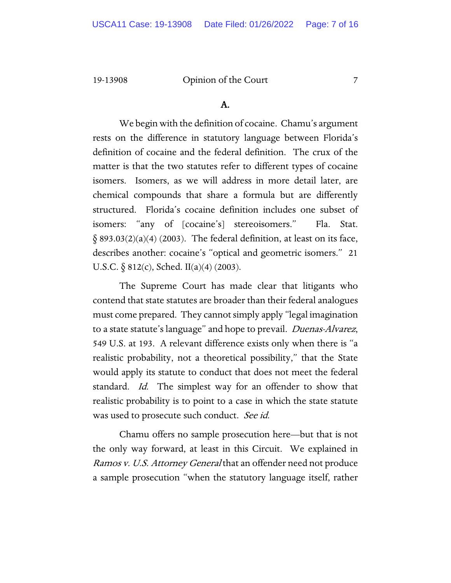#### A.

We begin with the definition of cocaine. Chamu's argument rests on the difference in statutory language between Florida's definition of cocaine and the federal definition. The crux of the matter is that the two statutes refer to different types of cocaine isomers. Isomers, as we will address in more detail later, are chemical compounds that share a formula but are differently structured. Florida's cocaine definition includes one subset of isomers: "any of [cocaine's] stereoisomers." Fla. Stat.  $\S$  893.03(2)(a)(4) (2003). The federal definition, at least on its face, describes another: cocaine's "optical and geometric isomers." 21 U.S.C.  $\delta$  812(c), Sched. II(a)(4) (2003).

The Supreme Court has made clear that litigants who contend that state statutes are broader than their federal analogues must come prepared. They cannot simply apply "legal imagination to a state statute's language" and hope to prevail. *Duenas-Alvarez*, 549 U.S. at 193. A relevant difference exists only when there is "a realistic probability, not a theoretical possibility," that the State would apply its statute to conduct that does not meet the federal standard. Id. The simplest way for an offender to show that realistic probability is to point to a case in which the state statute was used to prosecute such conduct. See id.

Chamu offers no sample prosecution here—but that is not the only way forward, at least in this Circuit. We explained in Ramos v. U.S. Attorney General that an offender need not produce a sample prosecution "when the statutory language itself, rather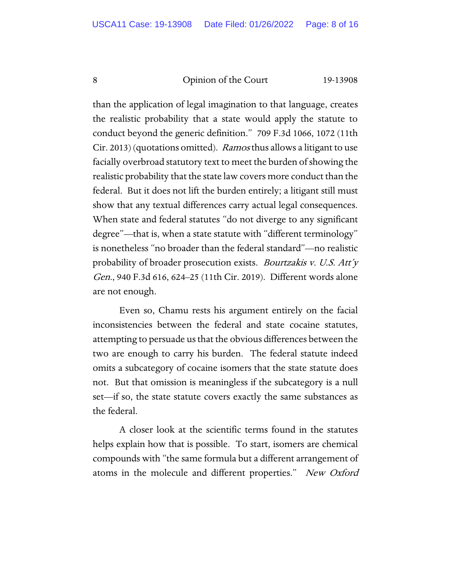than the application of legal imagination to that language, creates the realistic probability that a state would apply the statute to conduct beyond the generic definition." 709 F.3d 1066, 1072 (11th Cir. 2013) (quotations omitted). Ramos thus allows a litigant to use facially overbroad statutory text to meet the burden of showing the realistic probability that the state law covers more conduct than the federal. But it does not lift the burden entirely; a litigant still must show that any textual differences carry actual legal consequences. When state and federal statutes "do not diverge to any significant degree"—that is, when a state statute with "different terminology" is nonetheless "no broader than the federal standard"—no realistic probability of broader prosecution exists. Bourtzakis v. U.S. Att'y Gen., 940 F.3d 616, 624–25 (11th Cir. 2019). Different words alone are not enough.

Even so, Chamu rests his argument entirely on the facial inconsistencies between the federal and state cocaine statutes, attempting to persuade us that the obvious differences between the two are enough to carry his burden. The federal statute indeed omits a subcategory of cocaine isomers that the state statute does not. But that omission is meaningless if the subcategory is a null set—if so, the state statute covers exactly the same substances as the federal.

A closer look at the scientific terms found in the statutes helps explain how that is possible. To start, isomers are chemical compounds with "the same formula but a different arrangement of atoms in the molecule and different properties." New Oxford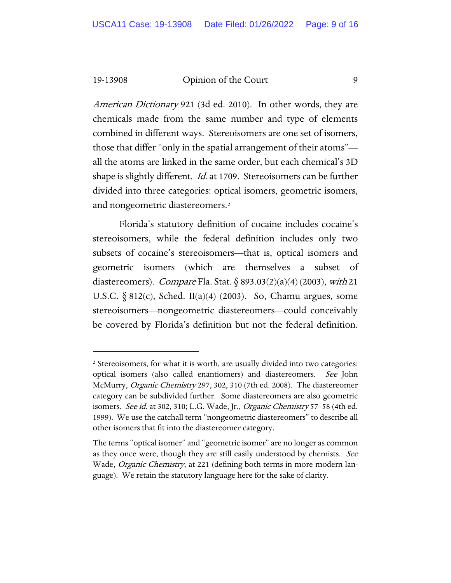American Dictionary 921 (3d ed. 2010). In other words, they are chemicals made from the same number and type of elements combined in different ways. Stereoisomers are one set of isomers, those that differ "only in the spatial arrangement of their atoms" all the atoms are linked in the same order, but each chemical's 3D shape is slightly different. *Id.* at 1709. Stereoisomers can be further divided into three categories: optical isomers, geometric isomers, and nongeometric diastereomers.[2](#page-8-0)

Florida's statutory definition of cocaine includes cocaine's stereoisomers, while the federal definition includes only two subsets of cocaine's stereoisomers—that is, optical isomers and geometric isomers (which are themselves a subset of diastereomers). *Compare* Fla. Stat.  $\frac{\delta}{\delta}$  893.03(2)(a)(4) (2003), with 21 U.S.C.  $\S 812(c)$ , Sched. II(a)(4) (2003). So, Chamu argues, some stereoisomers—nongeometric diastereomers—could conceivably be covered by Florida's definition but not the federal definition.

<span id="page-8-0"></span><sup>&</sup>lt;sup>2</sup> Stereoisomers, for what it is worth, are usually divided into two categories: optical isomers (also called enantiomers) and diastereomers. See John McMurry, Organic Chemistry 297, 302, 310 (7th ed. 2008). The diastereomer category can be subdivided further. Some diastereomers are also geometric isomers. See id. at 302, 310; L.G. Wade, Jr., Organic Chemistry 57–58 (4th ed. 1999). We use the catchall term "nongeometric diastereomers" to describe all other isomers that fit into the diastereomer category.

The terms "optical isomer" and "geometric isomer" are no longer as common as they once were, though they are still easily understood by chemists. See Wade, *Organic Chemistry*, at 221 (defining both terms in more modern language). We retain the statutory language here for the sake of clarity.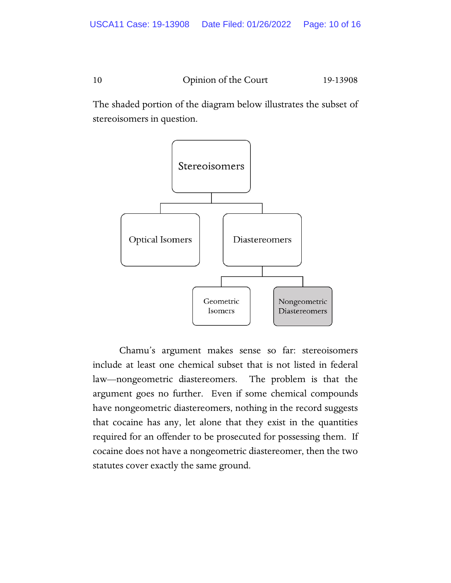The shaded portion of the diagram below illustrates the subset of stereoisomers in question.



Chamu's argument makes sense so far: stereoisomers include at least one chemical subset that is not listed in federal law—nongeometric diastereomers. The problem is that the argument goes no further. Even if some chemical compounds have nongeometric diastereomers, nothing in the record suggests that cocaine has any, let alone that they exist in the quantities required for an offender to be prosecuted for possessing them. If cocaine does not have a nongeometric diastereomer, then the two statutes cover exactly the same ground.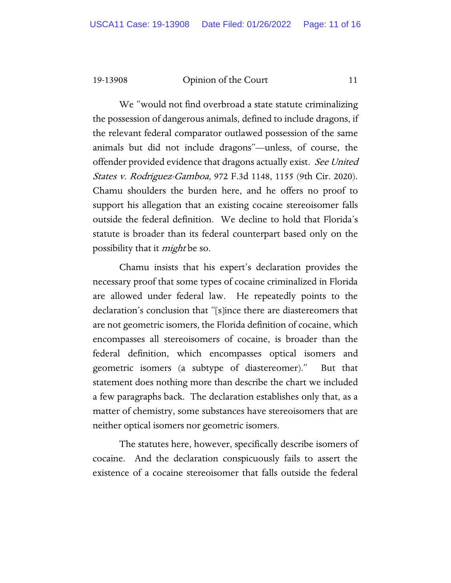We "would not find overbroad a state statute criminalizing the possession of dangerous animals, defined to include dragons, if the relevant federal comparator outlawed possession of the same animals but did not include dragons"—unless, of course, the offender provided evidence that dragons actually exist. See United States v. Rodriguez-Gamboa, 972 F.3d 1148, 1155 (9th Cir. 2020). Chamu shoulders the burden here, and he offers no proof to support his allegation that an existing cocaine stereoisomer falls outside the federal definition. We decline to hold that Florida's statute is broader than its federal counterpart based only on the possibility that it *might* be so.

Chamu insists that his expert's declaration provides the necessary proof that some types of cocaine criminalized in Florida are allowed under federal law. He repeatedly points to the declaration's conclusion that "[s]ince there are diastereomers that are not geometric isomers, the Florida definition of cocaine, which encompasses all stereoisomers of cocaine, is broader than the federal definition, which encompasses optical isomers and geometric isomers (a subtype of diastereomer)." But that statement does nothing more than describe the chart we included a few paragraphs back. The declaration establishes only that, as a matter of chemistry, some substances have stereoisomers that are neither optical isomers nor geometric isomers.

The statutes here, however, specifically describe isomers of cocaine. And the declaration conspicuously fails to assert the existence of a cocaine stereoisomer that falls outside the federal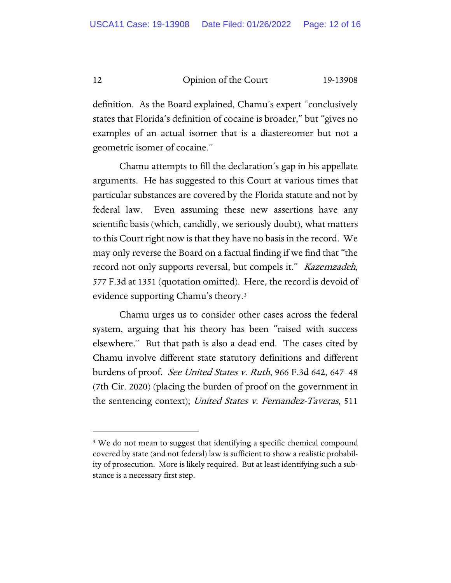definition. As the Board explained, Chamu's expert "conclusively states that Florida's definition of cocaine is broader," but "gives no examples of an actual isomer that is a diastereomer but not a geometric isomer of cocaine."

Chamu attempts to fill the declaration's gap in his appellate arguments. He has suggested to this Court at various times that particular substances are covered by the Florida statute and not by federal law. Even assuming these new assertions have any scientific basis (which, candidly, we seriously doubt), what matters to this Court right now is that they have no basis in the record. We may only reverse the Board on a factual finding if we find that "the record not only supports reversal, but compels it." Kazemzadeh, 577 F.3d at 1351 (quotation omitted). Here, the record is devoid of evidence supporting Chamu's theory.[3](#page-11-0)

Chamu urges us to consider other cases across the federal system, arguing that his theory has been "raised with success elsewhere." But that path is also a dead end. The cases cited by Chamu involve different state statutory definitions and different burdens of proof. *See United States v. Ruth*, 966 F.3d 642, 647–48 (7th Cir. 2020) (placing the burden of proof on the government in the sentencing context); United States v. Fernandez-Taveras, 511

<span id="page-11-0"></span><sup>&</sup>lt;sup>3</sup> We do not mean to suggest that identifying a specific chemical compound covered by state (and not federal) law is sufficient to show a realistic probability of prosecution. More is likely required. But at least identifying such a substance is a necessary first step.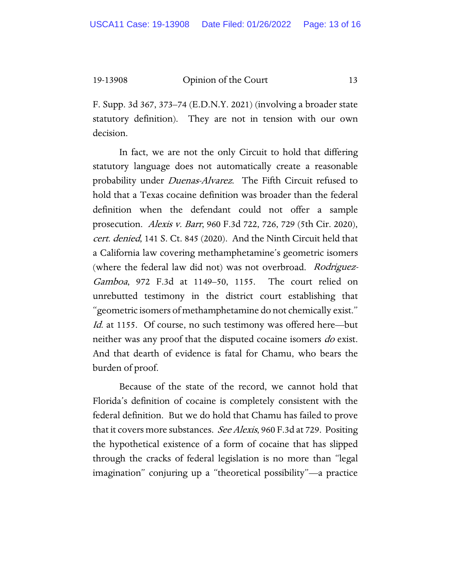F. Supp. 3d 367, 373–74 (E.D.N.Y. 2021) (involving a broader state statutory definition). They are not in tension with our own decision.

In fact, we are not the only Circuit to hold that differing statutory language does not automatically create a reasonable probability under *Duenas-Alvarez*. The Fifth Circuit refused to hold that a Texas cocaine definition was broader than the federal definition when the defendant could not offer a sample prosecution. Alexis v. Barr, 960 F.3d 722, 726, 729 (5th Cir. 2020), cert. denied, 141 S. Ct. 845 (2020). And the Ninth Circuit held that a California law covering methamphetamine's geometric isomers (where the federal law did not) was not overbroad. Rodriguez-Gamboa, 972 F.3d at 1149–50, 1155. The court relied on unrebutted testimony in the district court establishing that "geometric isomers of methamphetamine do not chemically exist." Id. at 1155. Of course, no such testimony was offered here—but neither was any proof that the disputed cocaine isomers do exist. And that dearth of evidence is fatal for Chamu, who bears the burden of proof.

Because of the state of the record, we cannot hold that Florida's definition of cocaine is completely consistent with the federal definition. But we do hold that Chamu has failed to prove that it covers more substances. See Alexis, 960 F.3d at 729. Positing the hypothetical existence of a form of cocaine that has slipped through the cracks of federal legislation is no more than "legal imagination" conjuring up a "theoretical possibility"—a practice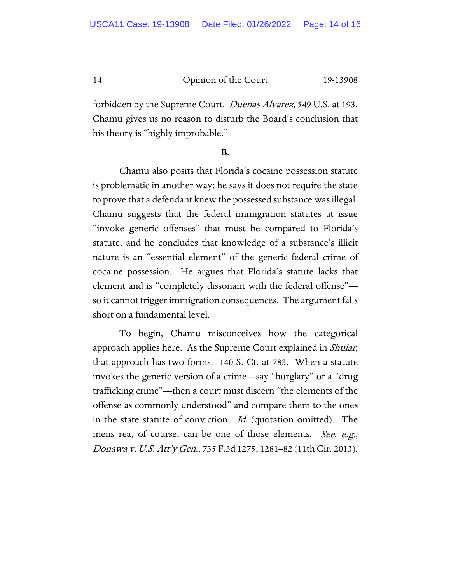forbidden by the Supreme Court. *Duenas-Alvarez*, 549 U.S. at 193. Chamu gives us no reason to disturb the Board's conclusion that his theory is "highly improbable."

#### B.

Chamu also posits that Florida's cocaine possession statute is problematic in another way: he says it does not require the state to prove that a defendant knew the possessed substance was illegal. Chamu suggests that the federal immigration statutes at issue "invoke generic offenses" that must be compared to Florida's statute, and he concludes that knowledge of a substance's illicit nature is an "essential element" of the generic federal crime of cocaine possession. He argues that Florida's statute lacks that element and is "completely dissonant with the federal offense" so it cannot trigger immigration consequences. The argument falls short on a fundamental level.

To begin, Chamu misconceives how the categorical approach applies here. As the Supreme Court explained in *Shular*, that approach has two forms. 140 S. Ct. at 783. When a statute invokes the generic version of a crime—say "burglary" or a "drug trafficking crime"—then a court must discern "the elements of the offense as commonly understood" and compare them to the ones in the state statute of conviction. *Id.* (quotation omitted). The mens rea, of course, can be one of those elements. See, e.g., Donawa v. U.S. Att'y Gen., 735 F.3d 1275, 1281–82 (11th Cir. 2013).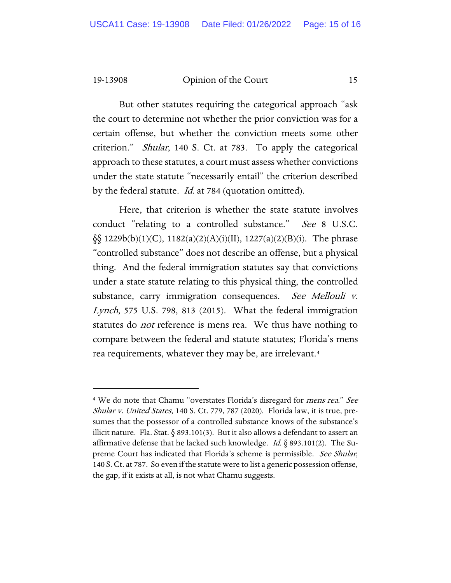But other statutes requiring the categorical approach "ask the court to determine not whether the prior conviction was for a certain offense, but whether the conviction meets some other criterion." Shular, 140 S. Ct. at 783. To apply the categorical approach to these statutes, a court must assess whether convictions under the state statute "necessarily entail" the criterion described by the federal statute. *Id.* at 784 (quotation omitted).

Here, that criterion is whether the state statute involves conduct "relating to a controlled substance." See 8 U.S.C.  $\S\$  1229b(b)(1)(C), 1182(a)(2)(A)(i)(II), 1227(a)(2)(B)(i). The phrase "controlled substance" does not describe an offense, but a physical thing. And the federal immigration statutes say that convictions under a state statute relating to this physical thing, the controlled substance, carry immigration consequences. See Mellouli v. Lynch, 575 U.S. 798, 813 (2015). What the federal immigration statutes do *not* reference is mens rea. We thus have nothing to compare between the federal and statute statutes; Florida's mens rea requirements, whatever they may be, are irrelevant.[4](#page-14-0) 

<span id="page-14-0"></span><sup>&</sup>lt;sup>4</sup> We do note that Chamu "overstates Florida's disregard for *mens rea." See* Shular v. United States, 140 S. Ct. 779, 787 (2020). Florida law, it is true, presumes that the possessor of a controlled substance knows of the substance's illicit nature. Fla. Stat. § 893.101(3). But it also allows a defendant to assert an affirmative defense that he lacked such knowledge. *Id.*  $\S$  893.101(2). The Supreme Court has indicated that Florida's scheme is permissible. See Shular, 140 S. Ct. at 787. So even if the statute were to list a generic possession offense, the gap, if it exists at all, is not what Chamu suggests.